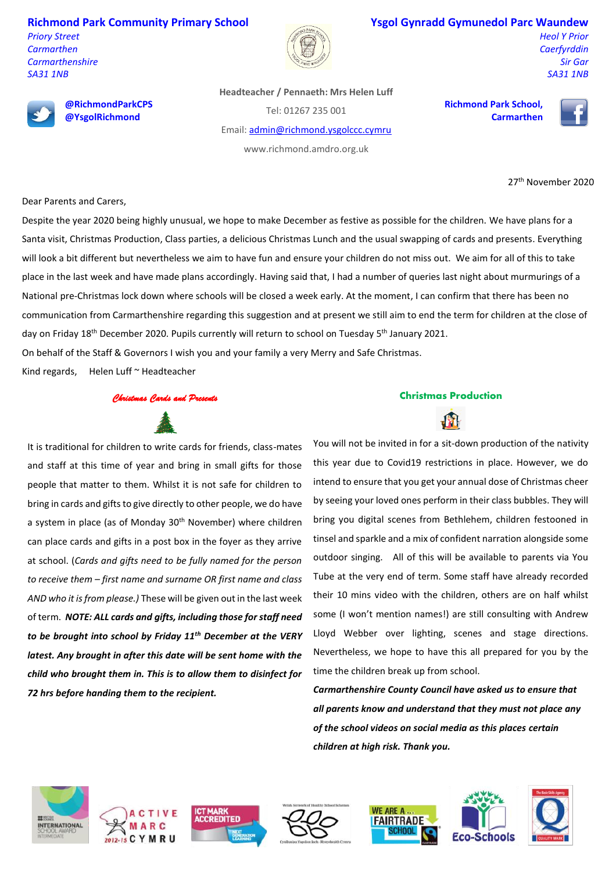**Richmond Park Community Primary School**

*Priory Street Carmarthen Carmarthenshire SA31 1NB*



## **Ysgol Gynradd Gymunedol Parc Waundew**

**Richmond Park School,** 

**Carmarthen**

*Heol Y Prior Caerfyrddin Sir Gar SA31 1NB*



**@RichmondParkCPS @YsgolRichmond**

**Headteacher / Pennaeth: Mrs Helen Luff**

Tel: 01267 235 001

Email[: admin@richmond.ysgolccc.cymru](mailto:admin@richmond.ysgolccc.cymru)

www.richmond.amdro.org.uk

27th November 2020

Dear Parents and Carers,

Despite the year 2020 being highly unusual, we hope to make December as festive as possible for the children. We have plans for a Santa visit, Christmas Production, Class parties, a delicious Christmas Lunch and the usual swapping of cards and presents. Everything will look a bit different but nevertheless we aim to have fun and ensure your children do not miss out. We aim for all of this to take place in the last week and have made plans accordingly. Having said that, I had a number of queries last night about murmurings of a National pre-Christmas lock down where schools will be closed a week early. At the moment, I can confirm that there has been no communication from Carmarthenshire regarding this suggestion and at present we still aim to end the term for children at the close of day on Friday 18<sup>th</sup> December 2020. Pupils currently will return to school on Tuesday 5<sup>th</sup> January 2021.

On behalf of the Staff & Governors I wish you and your family a very Merry and Safe Christmas.

Kind regards, Helen Luff ~ Headteacher

*Christmas Cards and Presents* 

It is traditional for children to write cards for friends, class-mates and staff at this time of year and bring in small gifts for those people that matter to them. Whilst it is not safe for children to bring in cards and gifts to give directly to other people, we do have a system in place (as of Monday 30<sup>th</sup> November) where children can place cards and gifts in a post box in the foyer as they arrive at school. (*Cards and gifts need to be fully named for the person to receive them – first name and surname OR first name and class AND who it is from please.)* These will be given out in the last week of term. *NOTE: ALL cards and gifts, including those for staff need to be brought into school by Friday 11th December at the VERY latest. Any brought in after this date will be sent home with the child who brought them in. This is to allow them to disinfect for 72 hrs before handing them to the recipient.*





You will not be invited in for a sit-down production of the nativity this year due to Covid19 restrictions in place. However, we do intend to ensure that you get your annual dose of Christmas cheer by seeing your loved ones perform in their class bubbles. They will bring you digital scenes from Bethlehem, children festooned in tinsel and sparkle and a mix of confident narration alongside some outdoor singing. All of this will be available to parents via You Tube at the very end of term. Some staff have already recorded their 10 mins video with the children, others are on half whilst some (I won't mention names!) are still consulting with Andrew Lloyd Webber over lighting, scenes and stage directions. Nevertheless, we hope to have this all prepared for you by the time the children break up from school.

*Carmarthenshire County Council have asked us to ensure that all parents know and understand that they must not place any of the school videos on social media as this places certain children at high risk. Thank you.*